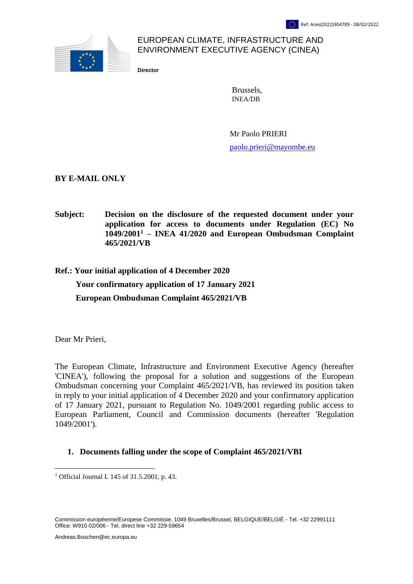

# EUROPEAN CLIMATE, INFRASTRUCTURE AND ENVIRONMENT EXECUTIVE AGENCY (CINEA)

**Director**

Brussels, INEA/DB

Mr Paolo PRIERI [paolo.prieri@mayombe.eu](mailto:paolo.prieri@mayombe.eu)

**BY E-MAIL ONLY**

**Subject: Decision on the disclosure of the requested document under your application for access to documents under Regulation (EC) No 1049/2001<sup>1</sup> – INEA 41/2020 and European Ombudsman Complaint 465/2021/VB**

**Ref.: Your initial application of 4 December 2020 Your confirmatory application of 17 January 2021 European Ombudsman Complaint 465/2021/VB**

Dear Mr Prieri,

 $\overline{a}$ 

The European Climate, Infrastructure and Environment Executive Agency (hereafter 'CINEA'), following the proposal for a solution and suggestions of the European Ombudsman concerning your Complaint 465/2021/VB, has reviewed its position taken in reply to your initial application of 4 December 2020 and your confirmatory application of 17 January 2021, pursuant to Regulation No. 1049/2001 regarding public access to European Parliament, Council and Commission documents (hereafter 'Regulation 1049/2001').

#### **1. Documents falling under the scope of Complaint 465/2021/VBI**

Commission européenne/Europese Commissie, 1049 Bruxelles/Brussel, BELGIQUE/BELGIË - Tel. +32 22991111 Office: W910 02/006 - Tel. direct line +32 229-59654

<sup>1</sup> Official Journal L 145 of 31.5.2001, p. 43.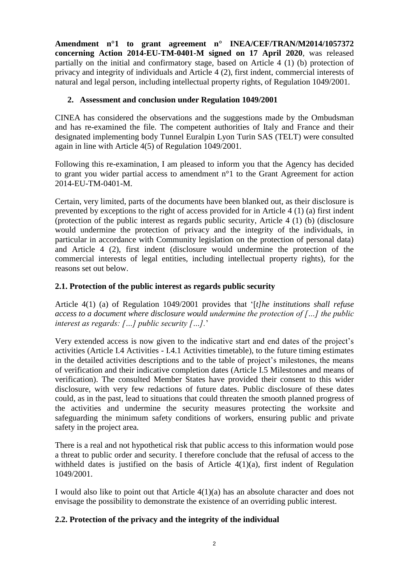**Amendment n°1 to grant agreement n° INEA/CEF/TRAN/M2014/1057372 concerning Action 2014-EU-TM-0401-M signed on 17 April 2020**, was released partially on the initial and confirmatory stage, based on Article 4 (1) (b) protection of privacy and integrity of individuals and Article 4 (2), first indent, commercial interests of natural and legal person, including intellectual property rights, of Regulation 1049/2001.

## **2. Assessment and conclusion under Regulation 1049/2001**

CINEA has considered the observations and the suggestions made by the Ombudsman and has re-examined the file. The competent authorities of Italy and France and their designated implementing body Tunnel Euralpin Lyon Turin SAS (TELT) were consulted again in line with Article 4(5) of Regulation 1049/2001.

Following this re-examination, I am pleased to inform you that the Agency has decided to grant you wider partial access to amendment n°1 to the Grant Agreement for action 2014-EU-TM-0401-M.

Certain, very limited, parts of the documents have been blanked out, as their disclosure is prevented by exceptions to the right of access provided for in Article 4 (1) (a) first indent (protection of the public interest as regards public security, Article 4 (1) (b) (disclosure would undermine the protection of privacy and the integrity of the individuals, in particular in accordance with Community legislation on the protection of personal data) and Article 4 (2), first indent (disclosure would undermine the protection of the commercial interests of legal entities, including intellectual property rights), for the reasons set out below.

### **2.1. Protection of the public interest as regards public security**

Article 4(1) (a) of Regulation 1049/2001 provides that '[*t]he institutions shall refuse access to a document where disclosure would undermine the protection of […] the public interest as regards: […] public security […].*'

Very extended access is now given to the indicative start and end dates of the project's activities (Article I.4 Activities - I.4.1 Activities timetable), to the future timing estimates in the detailed activities descriptions and to the table of project's milestones, the means of verification and their indicative completion dates (Article I.5 Milestones and means of verification). The consulted Member States have provided their consent to this wider disclosure, with very few redactions of future dates. Public disclosure of these dates could, as in the past, lead to situations that could threaten the smooth planned progress of the activities and undermine the security measures protecting the worksite and safeguarding the minimum safety conditions of workers, ensuring public and private safety in the project area.

There is a real and not hypothetical risk that public access to this information would pose a threat to public order and security. I therefore conclude that the refusal of access to the withheld dates is justified on the basis of Article  $4(1)(a)$ , first indent of Regulation 1049/2001.

I would also like to point out that Article 4(1)(a) has an absolute character and does not envisage the possibility to demonstrate the existence of an overriding public interest.

## **2.2. Protection of the privacy and the integrity of the individual**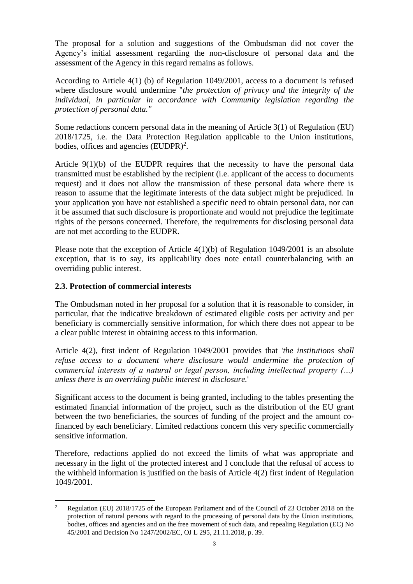The proposal for a solution and suggestions of the Ombudsman did not cover the Agency's initial assessment regarding the non-disclosure of personal data and the assessment of the Agency in this regard remains as follows.

According to Article 4(1) (b) of Regulation 1049/2001, access to a document is refused where disclosure would undermine "*the protection of privacy and the integrity of the individual, in particular in accordance with Community legislation regarding the protection of personal data."*

Some redactions concern personal data in the meaning of Article 3(1) of Regulation (EU) 2018/1725, i.e. the Data Protection Regulation applicable to the Union institutions, bodies, offices and agencies  $(EUDPR)^2$ .

Article  $9(1)(b)$  of the EUDPR requires that the necessity to have the personal data transmitted must be established by the recipient (i.e. applicant of the access to documents request) and it does not allow the transmission of these personal data where there is reason to assume that the legitimate interests of the data subject might be prejudiced. In your application you have not established a specific need to obtain personal data, nor can it be assumed that such disclosure is proportionate and would not prejudice the legitimate rights of the persons concerned. Therefore, the requirements for disclosing personal data are not met according to the EUDPR.

Please note that the exception of Article 4(1)(b) of Regulation 1049/2001 is an absolute exception, that is to say, its applicability does note entail counterbalancing with an overriding public interest.

#### **2.3. Protection of commercial interests**

The Ombudsman noted in her proposal for a solution that it is reasonable to consider, in particular, that the indicative breakdown of estimated eligible costs per activity and per beneficiary is commercially sensitive information, for which there does not appear to be a clear public interest in obtaining access to this information.

Article 4(2), first indent of Regulation 1049/2001 provides that '*the institutions shall refuse access to a document where disclosure would undermine the protection of commercial interests of a natural or legal person, including intellectual property (…) unless there is an overriding public interest in disclosure.*'

Significant access to the document is being granted, including to the tables presenting the estimated financial information of the project, such as the distribution of the EU grant between the two beneficiaries, the sources of funding of the project and the amount cofinanced by each beneficiary. Limited redactions concern this very specific commercially sensitive information.

Therefore, redactions applied do not exceed the limits of what was appropriate and necessary in the light of the protected interest and I conclude that the refusal of access to the withheld information is justified on the basis of Article 4(2) first indent of Regulation 1049/2001.

 $\overline{2}$ <sup>2</sup> Regulation (EU) 2018/1725 of the European Parliament and of the Council of 23 October 2018 on the protection of natural persons with regard to the processing of personal data by the Union institutions, bodies, offices and agencies and on the free movement of such data, and repealing Regulation (EC) No 45/2001 and Decision No 1247/2002/EC, OJ L 295, 21.11.2018, p. 39.